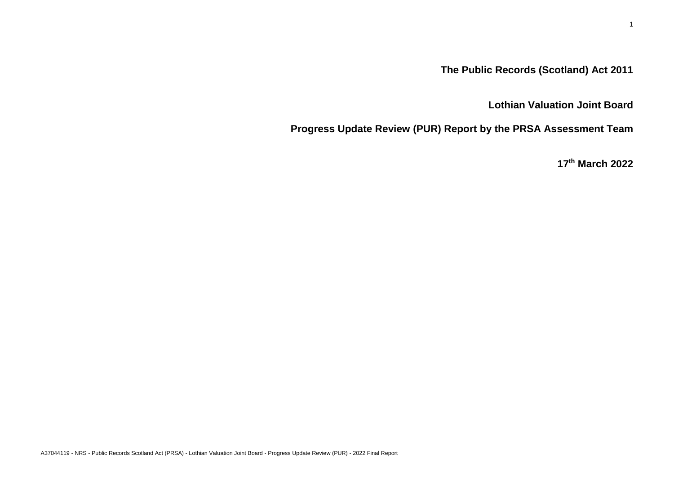# **The Public Records (Scotland) Act 2011**

## **Lothian Valuation Joint Board**

**Progress Update Review (PUR) Report by the PRSA Assessment Team**

**17 th March 2022**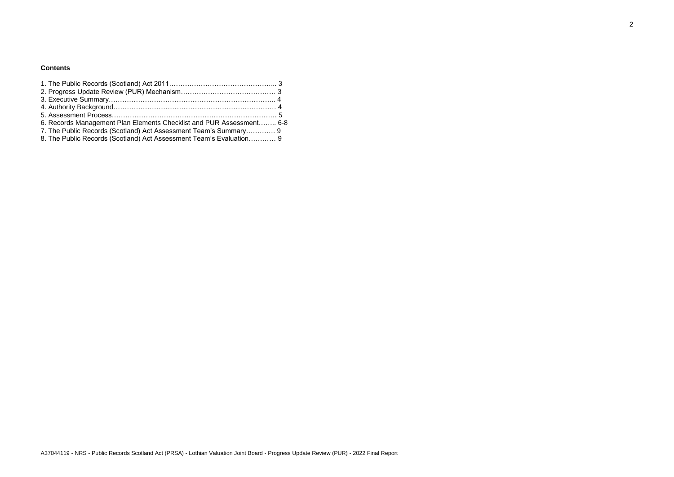2

### **Contents**

| 6. Records Management Plan Elements Checklist and PUR Assessment 6-8 |  |
|----------------------------------------------------------------------|--|
| 7. The Public Records (Scotland) Act Assessment Team's Summary 9     |  |
| 8. The Public Records (Scotland) Act Assessment Team's Evaluation 9  |  |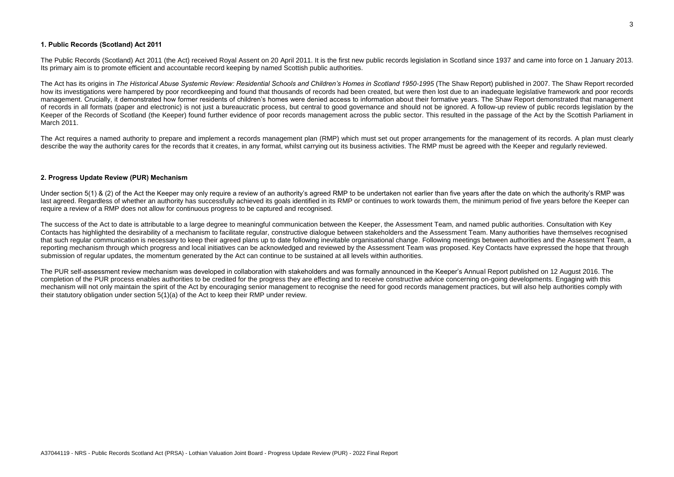#### **1. Public Records (Scotland) Act 2011**

The Public Records (Scotland) Act 2011 (the Act) received Royal Assent on 20 April 2011. It is the first new public records legislation in Scotland since 1937 and came into force on 1 January 2013. Its primary aim is to promote efficient and accountable record keeping by named Scottish public authorities.

The Act has its origins in *The Historical Abuse Systemic Review: Residential Schools and Children's Homes in Scotland 1950-1995* (The Shaw Report) published in 2007. The Shaw Report recorded how its investigations were hampered by poor recordkeeping and found that thousands of records had been created, but were then lost due to an inadequate legislative framework and poor records management. Crucially, it demonstrated how former residents of children's homes were denied access to information about their formative years. The Shaw Report demonstrated that management of records in all formats (paper and electronic) is not just a bureaucratic process, but central to good governance and should not be ignored. A follow-up review of public records legislation by the Keeper of the Records of Scotland (the Keeper) found further evidence of poor records management across the public sector. This resulted in the passage of the Act by the Scottish Parliament in March 2011.

The Act requires a named authority to prepare and implement a records management plan (RMP) which must set out proper arrangements for the management of its records. A plan must clearly describe the way the authority cares for the records that it creates, in any format, whilst carrying out its business activities. The RMP must be agreed with the Keeper and regularly reviewed.

#### **2. Progress Update Review (PUR) Mechanism**

Under section 5(1) & (2) of the Act the Keeper may only require a review of an authority's agreed RMP to be undertaken not earlier than five years after the date on which the authority's RMP was last agreed. Regardless of whether an authority has successfully achieved its goals identified in its RMP or continues to work towards them, the minimum period of five years before the Keeper can require a review of a RMP does not allow for continuous progress to be captured and recognised.

The success of the Act to date is attributable to a large degree to meaningful communication between the Keeper, the Assessment Team, and named public authorities. Consultation with Key Contacts has highlighted the desirability of a mechanism to facilitate regular, constructive dialogue between stakeholders and the Assessment Team. Many authorities have themselves recognised that such regular communication is necessary to keep their agreed plans up to date following inevitable organisational change. Following meetings between authorities and the Assessment Team, a reporting mechanism through which progress and local initiatives can be acknowledged and reviewed by the Assessment Team was proposed. Key Contacts have expressed the hope that through submission of regular updates, the momentum generated by the Act can continue to be sustained at all levels within authorities.

The PUR self-assessment review mechanism was developed in collaboration with stakeholders and was formally announced in the Keeper's Annual Report published on 12 August 2016. The completion of the PUR process enables authorities to be credited for the progress they are effecting and to receive constructive advice concerning on-going developments. Engaging with this mechanism will not only maintain the spirit of the Act by encouraging senior management to recognise the need for good records management practices, but will also help authorities comply with their statutory obligation under section 5(1)(a) of the Act to keep their RMP under review.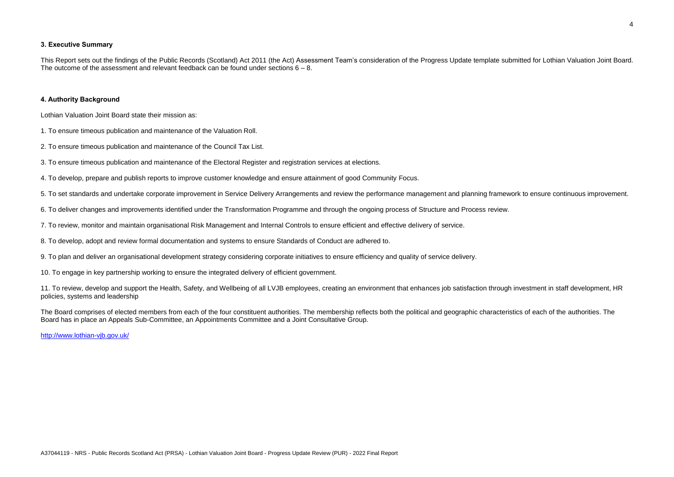This Report sets out the findings of the Public Records (Scotland) Act 2011 (the Act) Assessment Team's consideration of the Progress Update template submitted for Lothian Valuation Joint Board. The outcome of the assessment and relevant feedback can be found under sections  $6 - 8$ .

#### **3. Executive Summary**

#### **4. Authority Background**

Lothian Valuation Joint Board state their mission as:

1. To ensure timeous publication and maintenance of the Valuation Roll.

2. To ensure timeous publication and maintenance of the Council Tax List.

3. To ensure timeous publication and maintenance of the Electoral Register and registration services at elections.

4. To develop, prepare and publish reports to improve customer knowledge and ensure attainment of good Community Focus.

5. To set standards and undertake corporate improvement in Service Delivery Arrangements and review the performance management and planning framework to ensure continuous improvement.

6. To deliver changes and improvements identified under the Transformation Programme and through the ongoing process of Structure and Process review.

7. To review, monitor and maintain organisational Risk Management and Internal Controls to ensure efficient and effective delivery of service.

8. To develop, adopt and review formal documentation and systems to ensure Standards of Conduct are adhered to.

9. To plan and deliver an organisational development strategy considering corporate initiatives to ensure efficiency and quality of service delivery.

10. To engage in key partnership working to ensure the integrated delivery of efficient government.

11. To review, develop and support the Health, Safety, and Wellbeing of all LVJB employees, creating an environment that enhances job satisfaction through investment in staff development, HR policies, systems and leadership

The Board comprises of elected members from each of the four constituent authorities. The membership reflects both the political and geographic characteristics of each of the authorities. The Board has in place an Appeals Sub-Committee, an Appointments Committee and a Joint Consultative Group.

<http://www.lothian-vjb.gov.uk/>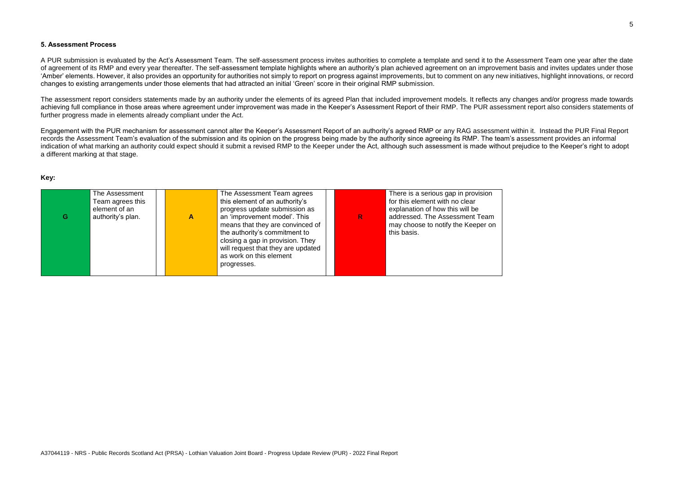#### **5. Assessment Process**

A PUR submission is evaluated by the Act's Assessment Team. The self-assessment process invites authorities to complete a template and send it to the Assessment Team one year after the date of agreement of its RMP and every year thereafter. The self-assessment template highlights where an authority's plan achieved agreement on an improvement basis and invites updates under those 'Amber' elements. However, it also provides an opportunity for authorities not simply to report on progress against improvements, but to comment on any new initiatives, highlight innovations, or record changes to existing arrangements under those elements that had attracted an initial 'Green' score in their original RMP submission.

The assessment report considers statements made by an authority under the elements of its agreed Plan that included improvement models. It reflects any changes and/or progress made towards achieving full compliance in those areas where agreement under improvement was made in the Keeper's Assessment Report of their RMP. The PUR assessment report also considers statements of further progress made in elements already compliant under the Act.

Engagement with the PUR mechanism for assessment cannot alter the Keeper's Assessment Report of an authority's agreed RMP or any RAG assessment within it. Instead the PUR Final Report records the Assessment Team's evaluation of the submission and its opinion on the progress being made by the authority since agreeing its RMP. The team's assessment provides an informal indication of what marking an authority could expect should it submit a revised RMP to the Keeper under the Act, although such assessment is made without prejudice to the Keeper's right to adopt a different marking at that stage.

#### **Key:**

| G | The Assessment<br>Team agrees this<br>element of an<br>authority's plan. | A | The Assessment Team agrees<br>this element of an authority's<br>progress update submission as<br>an 'improvement model'. This<br>means that they are convinced of<br>the authority's commitment to<br>closing a gap in provision. They<br>will request that they are updated<br>as work on this element<br>progresses. | R | There is a serious gap in provision<br>for this element with no clear<br>explanation of how this will be<br>addressed. The Assessment Team<br>may choose to notify the Keeper on<br>this basis. |
|---|--------------------------------------------------------------------------|---|------------------------------------------------------------------------------------------------------------------------------------------------------------------------------------------------------------------------------------------------------------------------------------------------------------------------|---|-------------------------------------------------------------------------------------------------------------------------------------------------------------------------------------------------|
|---|--------------------------------------------------------------------------|---|------------------------------------------------------------------------------------------------------------------------------------------------------------------------------------------------------------------------------------------------------------------------------------------------------------------------|---|-------------------------------------------------------------------------------------------------------------------------------------------------------------------------------------------------|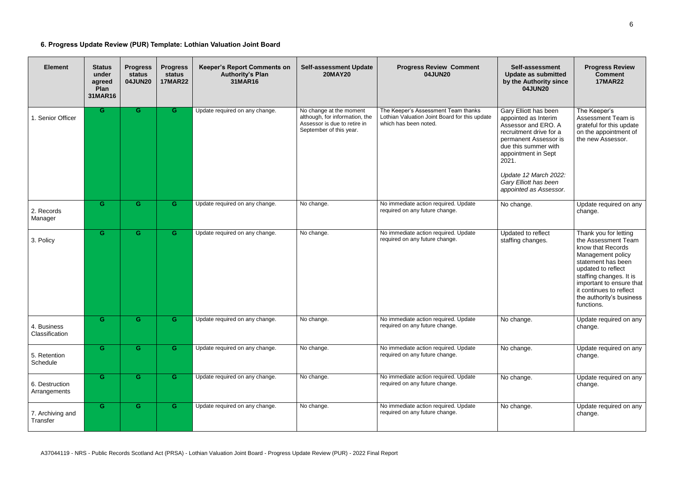## **6. Progress Update Review (PUR) Template: Lothian Valuation Joint Board**

| <b>Element</b>                 | <b>Status</b><br>under<br>agreed<br>Plan<br>31MAR16 | <b>Progress</b><br>status<br>04JUN20 | <b>Progress</b><br>status<br><b>17MAR22</b> | <b>Keeper's Report Comments on</b><br><b>Authority's Plan</b><br>31MAR16 | <b>Self-assessment Update</b><br><b>20MAY20</b>                                                                      | <b>Progress Review Comment</b><br>04JUN20                                                                     | Self-assessment<br><b>Update as submitted</b><br>by the Authority since<br>04JUN20                                                                                                                                                                           | <b>Progress Review</b><br><b>Comment</b><br><b>17MAR22</b>                                                                                                                                                                                                     |
|--------------------------------|-----------------------------------------------------|--------------------------------------|---------------------------------------------|--------------------------------------------------------------------------|----------------------------------------------------------------------------------------------------------------------|---------------------------------------------------------------------------------------------------------------|--------------------------------------------------------------------------------------------------------------------------------------------------------------------------------------------------------------------------------------------------------------|----------------------------------------------------------------------------------------------------------------------------------------------------------------------------------------------------------------------------------------------------------------|
| 1. Senior Officer              | G.                                                  | G                                    | G.                                          | Update required on any change.                                           | No change at the moment<br>although, for information, the<br>Assessor is due to retire in<br>September of this year. | The Keeper's Assessment Team thanks<br>Lothian Valuation Joint Board for this update<br>which has been noted. | Gary Elliott has been<br>appointed as Interim<br>Assessor and ERO. A<br>recruitment drive for a<br>permanent Assessor is<br>due this summer with<br>appointment in Sept<br>2021.<br>Update 12 March 2022:<br>Gary Elliott has been<br>appointed as Assessor. | The Keeper's<br>Assessment Team is<br>grateful for this update<br>on the appointment of<br>the new Assessor.                                                                                                                                                   |
| 2. Records<br>Manager          | G.                                                  | G                                    | G.                                          | Update required on any change.                                           | No change.                                                                                                           | No immediate action required. Update<br>required on any future change.                                        | No change.                                                                                                                                                                                                                                                   | Update required on any<br>change.                                                                                                                                                                                                                              |
| 3. Policy                      | G.                                                  | G                                    | G.                                          | Update required on any change.                                           | No change.                                                                                                           | No immediate action required. Update<br>required on any future change.                                        | Updated to reflect<br>staffing changes.                                                                                                                                                                                                                      | Thank you for letting<br>the Assessment Team<br>know that Records<br>Management policy<br>statement has been<br>updated to reflect<br>staffing changes. It is<br>important to ensure that<br>it continues to reflect<br>the authority's business<br>functions. |
| 4. Business<br>Classification  | G.                                                  | G                                    | G.                                          | Update required on any change.                                           | No change.                                                                                                           | No immediate action required. Update<br>required on any future change.                                        | No change.                                                                                                                                                                                                                                                   | Update required on any<br>change.                                                                                                                                                                                                                              |
| 5. Retention<br>Schedule       | G.                                                  | G                                    | G.                                          | Update required on any change.                                           | No change.                                                                                                           | No immediate action required. Update<br>required on any future change.                                        | No change.                                                                                                                                                                                                                                                   | Update required on any<br>change.                                                                                                                                                                                                                              |
| 6. Destruction<br>Arrangements | G.                                                  | G                                    | G.                                          | Update required on any change.                                           | No change.                                                                                                           | No immediate action required. Update<br>required on any future change.                                        | No change.                                                                                                                                                                                                                                                   | Update required on any<br>change.                                                                                                                                                                                                                              |
| 7. Archiving and<br>Transfer   | G.                                                  | G                                    | G.                                          | Update required on any change.                                           | No change.                                                                                                           | No immediate action required. Update<br>required on any future change.                                        | No change.                                                                                                                                                                                                                                                   | Update required on any<br>change.                                                                                                                                                                                                                              |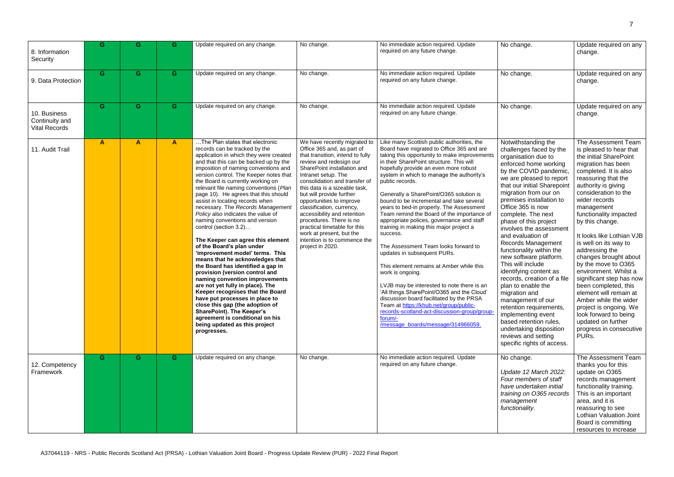| 8. Information<br>Security                             | G  | G            | G. | Update required on any change.                                                                                                                                                                                                                                                                                                                                                                                                                                                                                                                                                                                                                                                                                                                                                                                                                                                                                                                                                                                                                             | No change.                                                                                                                                                                                                                                                                                                                                                                                                                                                                                                       | No immediate action required. Update<br>required on any future change.                                                                                                                                                                                                                                                                                                                                                                                                                                                                                                                                                                                                                                                                                                                                                                                                                                                                                                                                     | No change.                                                                                                                                                                                                                                                                                                                                                                                                                                                                                                                                                                                                                                                                                                                                    | Update required on any<br>change.                                                                                                                                                                                                                                                                                                                                                                                                                                                                                                                                                                                                              |
|--------------------------------------------------------|----|--------------|----|------------------------------------------------------------------------------------------------------------------------------------------------------------------------------------------------------------------------------------------------------------------------------------------------------------------------------------------------------------------------------------------------------------------------------------------------------------------------------------------------------------------------------------------------------------------------------------------------------------------------------------------------------------------------------------------------------------------------------------------------------------------------------------------------------------------------------------------------------------------------------------------------------------------------------------------------------------------------------------------------------------------------------------------------------------|------------------------------------------------------------------------------------------------------------------------------------------------------------------------------------------------------------------------------------------------------------------------------------------------------------------------------------------------------------------------------------------------------------------------------------------------------------------------------------------------------------------|------------------------------------------------------------------------------------------------------------------------------------------------------------------------------------------------------------------------------------------------------------------------------------------------------------------------------------------------------------------------------------------------------------------------------------------------------------------------------------------------------------------------------------------------------------------------------------------------------------------------------------------------------------------------------------------------------------------------------------------------------------------------------------------------------------------------------------------------------------------------------------------------------------------------------------------------------------------------------------------------------------|-----------------------------------------------------------------------------------------------------------------------------------------------------------------------------------------------------------------------------------------------------------------------------------------------------------------------------------------------------------------------------------------------------------------------------------------------------------------------------------------------------------------------------------------------------------------------------------------------------------------------------------------------------------------------------------------------------------------------------------------------|------------------------------------------------------------------------------------------------------------------------------------------------------------------------------------------------------------------------------------------------------------------------------------------------------------------------------------------------------------------------------------------------------------------------------------------------------------------------------------------------------------------------------------------------------------------------------------------------------------------------------------------------|
| 9. Data Protection                                     | G. | G            | G. | Update required on any change.                                                                                                                                                                                                                                                                                                                                                                                                                                                                                                                                                                                                                                                                                                                                                                                                                                                                                                                                                                                                                             | No change.                                                                                                                                                                                                                                                                                                                                                                                                                                                                                                       | No immediate action required. Update<br>required on any future change.                                                                                                                                                                                                                                                                                                                                                                                                                                                                                                                                                                                                                                                                                                                                                                                                                                                                                                                                     | No change.                                                                                                                                                                                                                                                                                                                                                                                                                                                                                                                                                                                                                                                                                                                                    | Update required on any<br>change.                                                                                                                                                                                                                                                                                                                                                                                                                                                                                                                                                                                                              |
| 10. Business<br>Continuity and<br><b>Vital Records</b> | G. | G            | G. | Update required on any change.                                                                                                                                                                                                                                                                                                                                                                                                                                                                                                                                                                                                                                                                                                                                                                                                                                                                                                                                                                                                                             | No change.                                                                                                                                                                                                                                                                                                                                                                                                                                                                                                       | No immediate action required. Update<br>required on any future change.                                                                                                                                                                                                                                                                                                                                                                                                                                                                                                                                                                                                                                                                                                                                                                                                                                                                                                                                     | No change.                                                                                                                                                                                                                                                                                                                                                                                                                                                                                                                                                                                                                                                                                                                                    | Update required on any<br>change.                                                                                                                                                                                                                                                                                                                                                                                                                                                                                                                                                                                                              |
| 11. Audit Trail                                        | A  | $\mathbf{A}$ | A  | The Plan states that electronic<br>records can be tracked by the<br>application in which they were created<br>and that this can be backed up by the<br>imposition of naming conventions and<br>version control. The Keeper notes that<br>the Board is currently working on<br>relevant file naming conventions (Plan<br>page 10). He agrees that this should<br>assist in locating records when<br>necessary. The Records Management<br>Policy also indicates the value of<br>naming conventions and version<br>control (section 3.2)<br>The Keeper can agree this element<br>of the Board's plan under<br>'improvement model' terms. This<br>means that he acknowledges that<br>the Board has identified a gap in<br>provision (version control and<br>naming convention improvements<br>are not yet fully in place). The<br>Keeper recognises that the Board<br>have put processes in place to<br>close this gap (the adoption of<br><b>SharePoint). The Keeper's</b><br>agreement is conditional on his<br>being updated as this project<br>progresses. | We have recently migrated to<br>Office 365 and, as part of<br>that transition, intend to fully<br>review and redesign our<br>SharePoint installation and<br>Intranet setup. The<br>consolidation and transfer of<br>this data is a sizeable task,<br>but will provide further<br>opportunities to improve<br>classification, currency,<br>accessibility and retention<br>procedures. There is no<br>practical timetable for this<br>work at present, but the<br>intention is to commence the<br>project in 2020. | Like many Scottish public authorities, the<br>Board have migrated to Office 365 and are<br>taking this opportunity to make improvements<br>in their SharePoint structure. This will<br>hopefully provide an even more robust<br>system in which to manage the authority's<br>public records.<br>Generally a SharePoint/O365 solution is<br>bound to be incremental and take several<br>years to bed-in properly. The Assessment<br>Team remind the Board of the importance of<br>appropriate polices, governance and staff<br>training in making this major project a<br>success.<br>The Assessment Team looks forward to<br>updates in subsequent PURs.<br>This element remains at Amber while this<br>work is ongoing.<br>LVJB may be interested to note there is an<br>'All things SharePoint/O365 and the Cloud'<br>discussion board facilitated by the PRSA<br>Team at https://khub.net/group/public-<br>records-scotland-act-discussion-group/group<br>forum/-<br>/message_boards/message/314966059. | Notwithstanding the<br>challenges faced by the<br>organisation due to<br>enforced home working<br>by the COVID pandemic,<br>we are pleased to report<br>that our initial Sharepoint<br>migration from our on<br>premises installation to<br>Office 365 is now<br>complete. The next<br>phase of this project<br>involves the assessment<br>and evaluation of<br>Records Management<br>functionality within the<br>new software platform.<br>This will include<br>identifying content as<br>records, creation of a file<br>plan to enable the<br>migration and<br>management of our<br>retention requirements,<br>implementing event<br>based retention rules,<br>undertaking disposition<br>reviews and setting<br>specific rights of access. | The Assessment Team<br>is pleased to hear that<br>the initial SharePoint<br>migration has been<br>completed. It is also<br>reassuring that the<br>authority is giving<br>consideration to the<br>wider records<br>management<br>functionality impacted<br>by this change.<br>It looks like Lothian VJB<br>is well on its way to<br>addressing the<br>changes brought about<br>by the move to O365<br>environment. Whilst a<br>significant step has now<br>been completed, this<br>element will remain at<br>Amber while the wider<br>project is ongoing. We<br>look forward to being<br>updated on further<br>progress in consecutive<br>PURs. |
| 12. Competency<br>Framework                            | G  | G            | G. | Update required on any change.                                                                                                                                                                                                                                                                                                                                                                                                                                                                                                                                                                                                                                                                                                                                                                                                                                                                                                                                                                                                                             | No change.                                                                                                                                                                                                                                                                                                                                                                                                                                                                                                       | No immediate action required. Update<br>required on any future change.                                                                                                                                                                                                                                                                                                                                                                                                                                                                                                                                                                                                                                                                                                                                                                                                                                                                                                                                     | No change.<br>Update 12 March 2022:<br>Four members of staff<br>have undertaken initial<br>training on O365 records<br>management<br>functionality.                                                                                                                                                                                                                                                                                                                                                                                                                                                                                                                                                                                           | The Assessment Team<br>thanks you for this<br>update on O365<br>records management<br>functionality training.<br>This is an important<br>area, and it is<br>reassuring to see<br>Lothian Valuation Joint<br>Board is committing<br>resources to increase                                                                                                                                                                                                                                                                                                                                                                                       |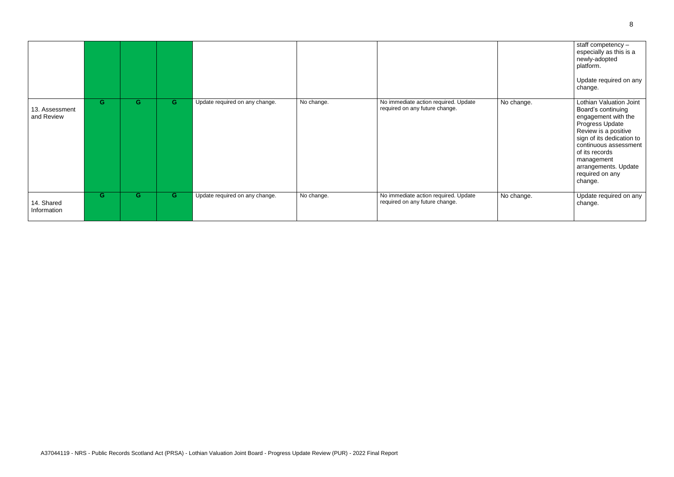|                              |    |    |    |                                |            |                                                                        |            | staff competency -<br>especially as this is a<br>newly-adopted<br>platform.<br>Update required on any<br>change.                                                                                                                                                   |
|------------------------------|----|----|----|--------------------------------|------------|------------------------------------------------------------------------|------------|--------------------------------------------------------------------------------------------------------------------------------------------------------------------------------------------------------------------------------------------------------------------|
| 13. Assessment<br>and Review | G. | G. | G. | Update required on any change. | No change. | No immediate action required. Update<br>required on any future change. | No change. | <b>Lothian Valuation Joint</b><br>Board's continuing<br>engagement with the<br>Progress Update<br>Review is a positive<br>sign of its dedication to<br>continuous assessment<br>of its records<br>management<br>arrangements. Update<br>required on any<br>change. |
| 14. Shared<br>Information    | G. | G. | G  | Update required on any change. | No change. | No immediate action required. Update<br>required on any future change. | No change. | Update required on any<br>change.                                                                                                                                                                                                                                  |